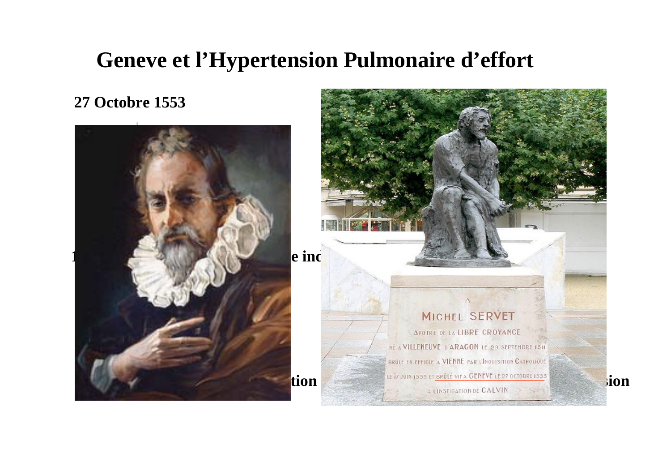# **Geneve et l'Hypertension Pulmonaire d'effort**

### **27 Octobre 1553**



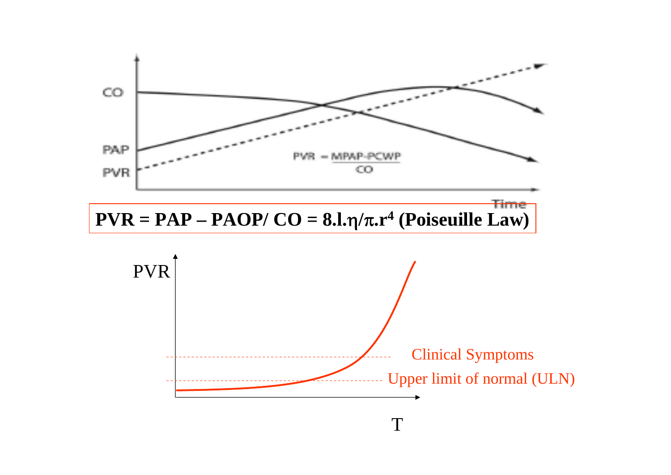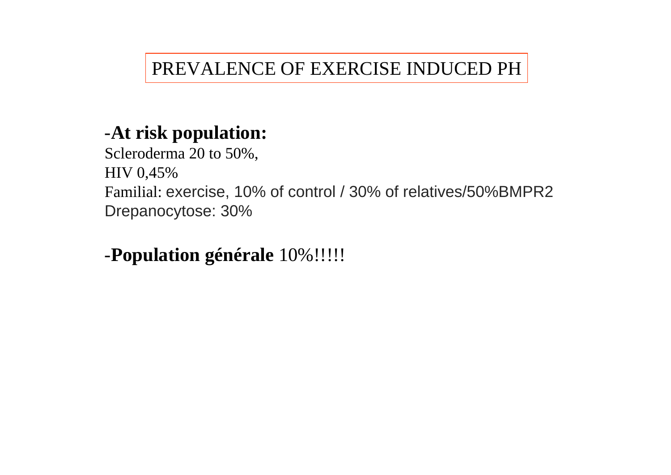# PREVALENCE OF EXERCISE INDUCED PH

# -**At risk population:**

Scleroderma 20 to 50%, HIV 0,45% Familial: exercise, 10% of control / 30% of relatives/50%BMPR2 Drepanocytose: 30%

# -**Population générale** 10%!!!!!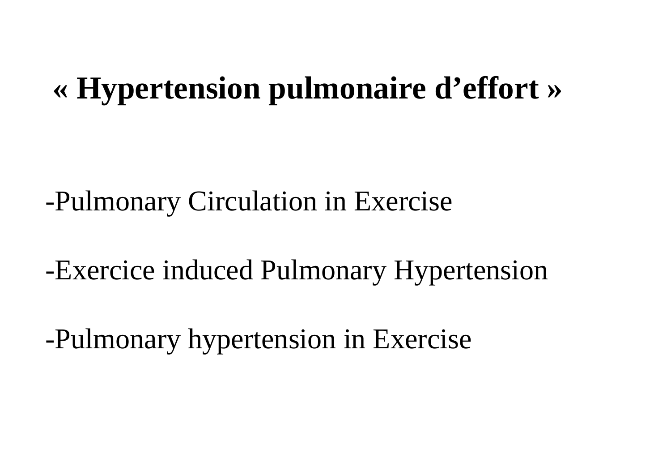# **« Hypertension pulmonaire d'effort »**

-Pulmonary Circulation in Exercise

-Exercice induced Pulmonary Hypertension

-Pulmonary hypertension in Exercise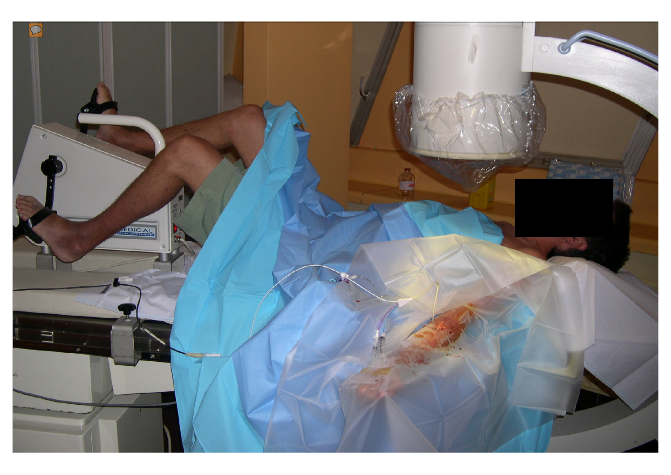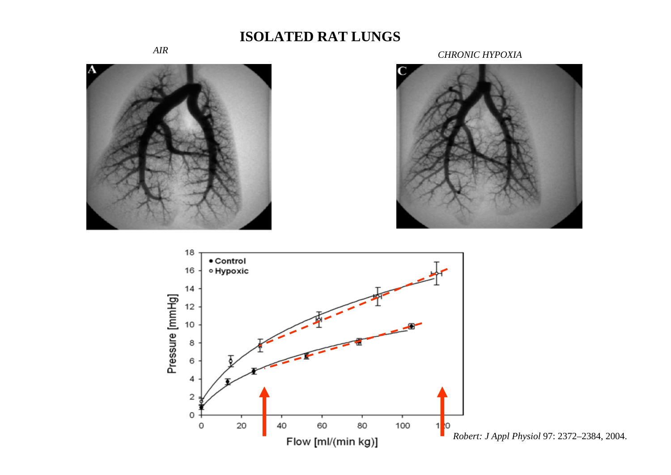#### **ISOLATED RAT LUNGS**

*CHRONIC HYPOXIA*







*AIR*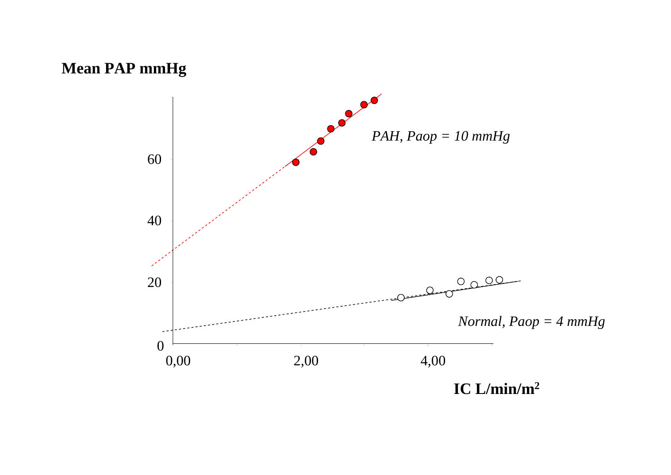### **Mean PAP mmHg**

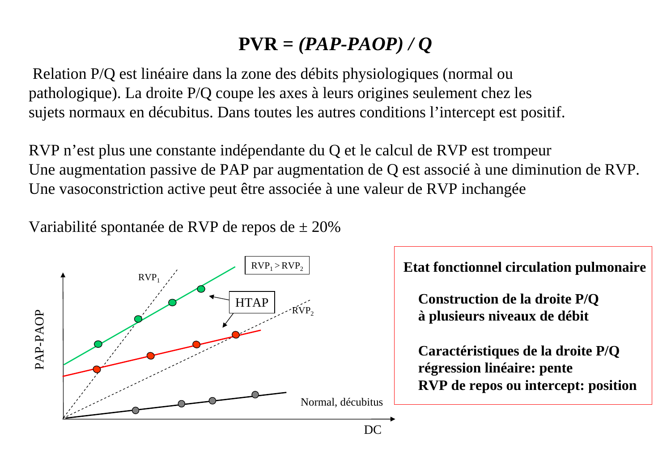# $PVR = (PAP-PAOP)/Q$

Relation P/Q est linéaire dans la zone des débits physiologiques (normal ou pathologique). La droite P/Q coupe les axes à leurs origines seulement chez les sujets normaux en décubitus. Dans toutes les autres conditions l'intercept est positif.

RVP n'est plus une constante indépendante du Q et le calcul de RVP est trompeur Une augmentation passive de PAP par augmentation de Q est associé à une diminution de RVP. Une vasoconstriction active peut être associée à une valeur de RVP inchangée

Variabilité spontanée de RVP de repos de  $\pm$  20%



**Construction de la droite P/Q à plusieurs niveaux de débit Caractéristiques de la droite P/Q régression linéaire: pente RVP de repos ou intercept: position Etat fonctionnel circulation pulmonaire**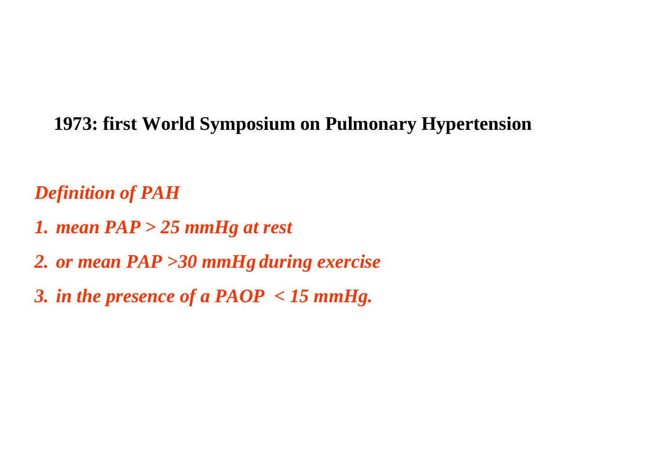# **1973: first World Symposium on Pulmonary Hypertension**

*Definition of PAH*

- *1. mean PAP > 25 mmHg at rest*
- *2. or mean PAP >30 mmHg during exercise*
- *3. in the presence of a PAOP < 15 mmHg.*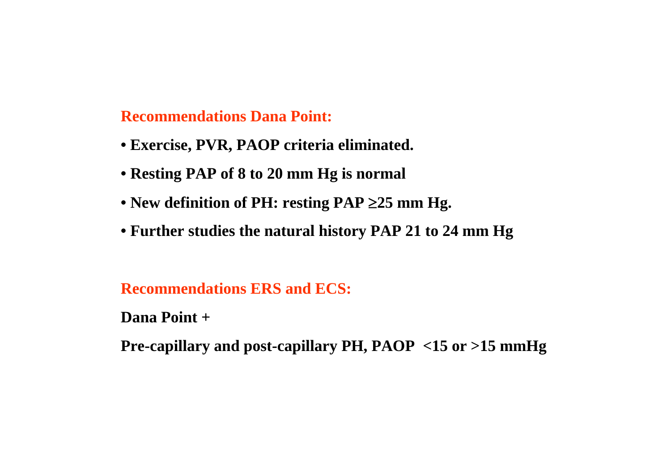**Recommendations Dana Point:** 

- **Exercise, PVR, PAOP criteria eliminated.**
- **Resting PAP of 8 to 20 mm Hg is normal**
- **New definition of PH: resting PAP**  ≥**25 mm Hg.**
- **Further studies the natural history PAP 21 to 24 mm Hg**

**Recommendations ERS and ECS:** 

**Dana Point +** 

**Pre-capillary and post-capillary PH, PAOP <15 or >15 mmHg**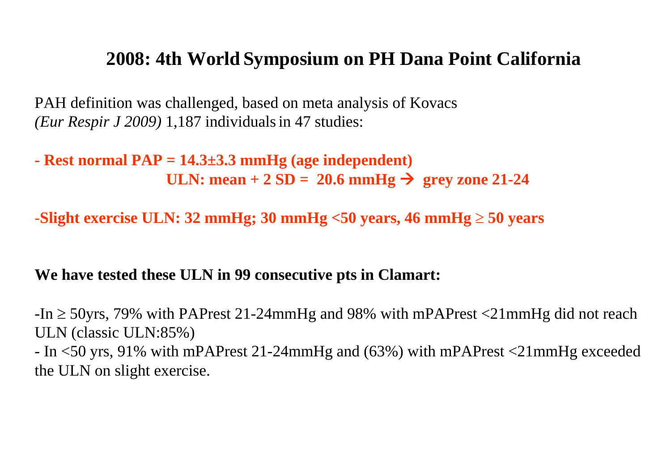# **2008: 4th World Symposium on PH Dana Point California**

PAH definition was challenged, based on meta analysis of Kovacs *(Eur Respir J 2009)* 1,187 individuals in 47 studies:

**- Rest normal PAP = 14.3±3.3 mmHg (age independent) ULN:** mean + 2 SD =  $20.6$  mmHg  $\rightarrow$  grey zone 21-24

-**Slight exercise ULN: 32 mmHg; 30 mmHg <50 years, 46 mmHg**  ≥ **50 years**

#### **We have tested these ULN in 99 consecutive pts in Clamart:**

-In ≥ 50yrs, 79% with PAPrest 21-24mmHg and 98% with mPAPrest <21mmHg did not reach ULN (classic ULN:85%)

- In <50 yrs, 91% with mPAPrest 21-24mmHg and (63%) with mPAPrest <21mmHg exceeded the ULN on slight exercise.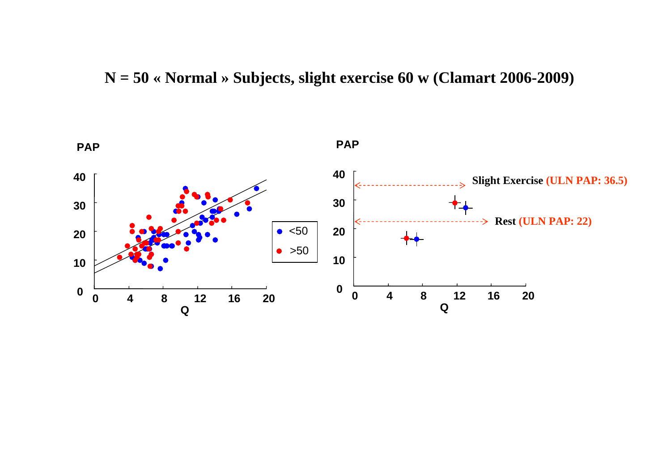#### **N = 50 « Normal » Subjects, slight exercise 60 w (Clamart 2006-2009)**

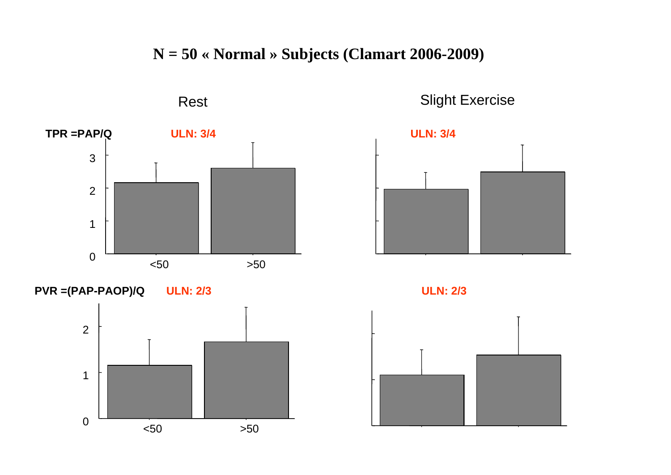### **N = 50 « Normal » Subjects (Clamart 2006-2009)**







Slight Exercise

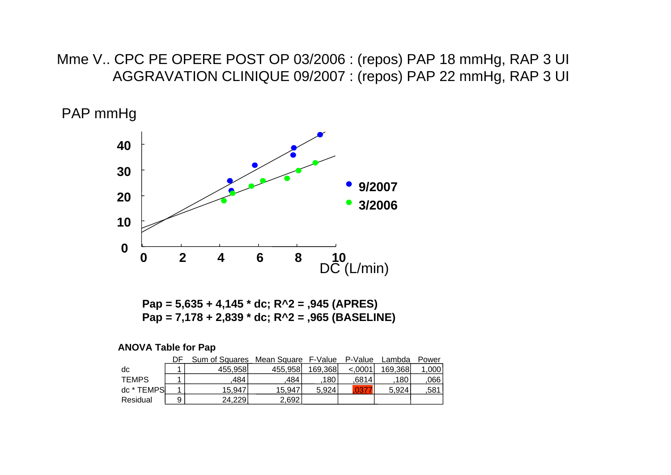Mme V.. CPC PE OPERE POST OP 03/2006 : (repos) PAP 18 mmHg, RAP 3 UI AGGRAVATION CLINIQUE 09/2007 : (repos) PAP 22 mmHg, RAP 3 UI



**Pap = 7,178 + 2,839 \* dc; R^2 = ,965 (BASELINE) Pap = 5,635 + 4,145 \* dc; R^2 = ,945 (APRES)**

#### **ANOVA Table for Pap**

|              |   | Sum of Squares Mean Square F-Value P-Value |         |         |                  | Lambda  | Power  |
|--------------|---|--------------------------------------------|---------|---------|------------------|---------|--------|
| dc           |   | 455.958                                    | 455.958 | 169,368 | < .00011         | 169.368 | 1.000  |
| <b>TEMPS</b> |   | :484                                       | .484    | 180     | .6814            | 180     | 066    |
| dc * TEMPSI  |   | 15.9471                                    | 15.947  | 5.924   | $\overline{037}$ | 5.924   | ا 581. |
| Residual     | a | 24.229                                     | 2,692   |         |                  |         |        |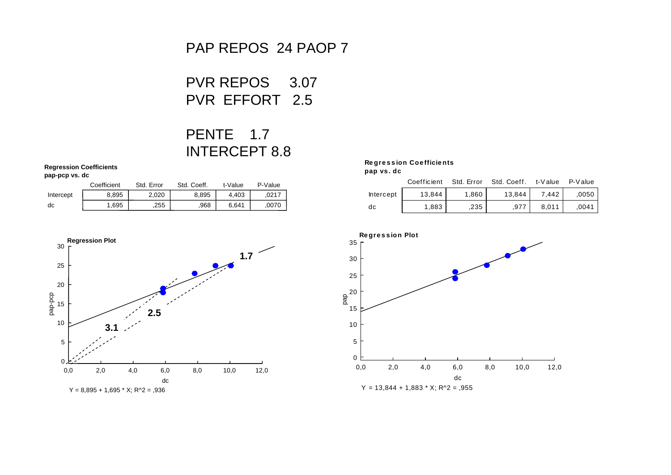#### PAP REPOS 24 PAOP 7

#### PVR REPOS 3.07 PVR EFFORT 2.5

#### PENTE 1.7 INTERCEPT 8.8

#### **Regression Coefficients**

#### **pap-pcp vs. dc**

|           | Coefficient | Std. Error | Std. Coeff. | t-Value | P-Value |
|-----------|-------------|------------|-------------|---------|---------|
| Intercept | 8.895       | 2.020      | 8.895       | 4.403   | .0217   |
| dc        | .695        | 255        | .968        | 6.641   | 0070    |



#### **Re gre <sup>s</sup> <sup>s</sup> ion Coe fficie nts pap vs. dc**

|           | Coefficient | Std. Error | Std. Coeff. | t-Value | P-Value |
|-----------|-------------|------------|-------------|---------|---------|
| Intercept | 13.844      | 1.860      | 13,844      | 7.442   | .0050   |
| dc        | 1.883       | .235       | .977        | 8.011   | 0041.   |

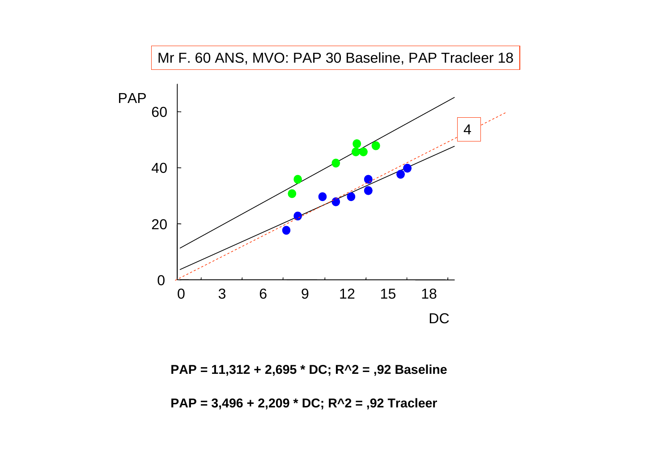#### Mr F. 60 ANS, MVO: PAP 30 Baseline, PAP Tracleer 18



**PAP = 11,312 + 2,695 \* DC; R^2 = ,92 Baseline**

**PAP = 3,496 + 2,209 \* DC; R^2 = ,92 Tracleer**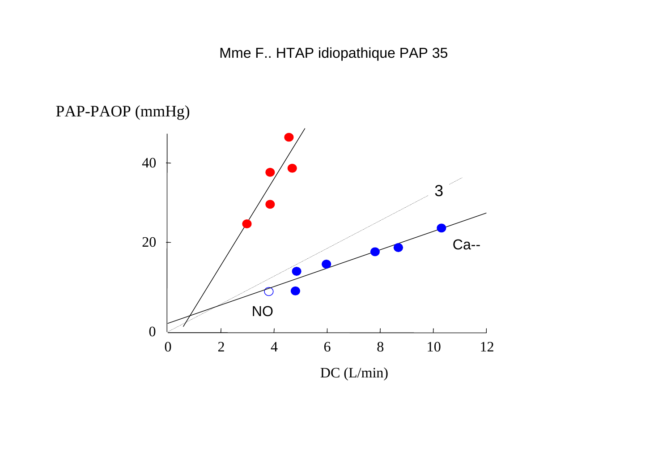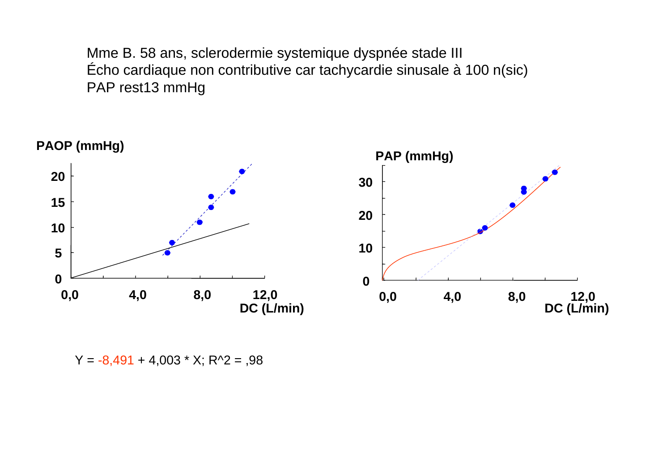Mme B. 58 ans, sclerodermie systemique dyspnée stade III Écho cardiaque non contributive car tachycardie sinusale à 100 n(sic) PAP rest13 mmHg



 $Y = -8,491 + 4,003 * X$ ; R^2 = ,98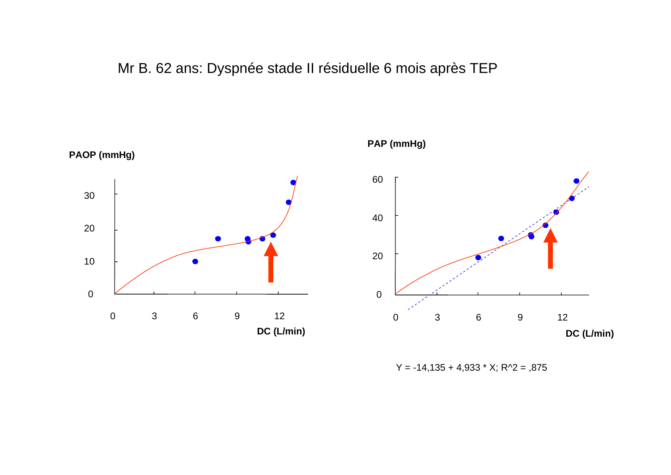#### Mr B. 62 ans: Dyspnée stade II résiduelle 6 mois après TEP



**PAP (mmHg)**

 $Y = -14,135 + 4,933 * X$ ; R^2 = ,875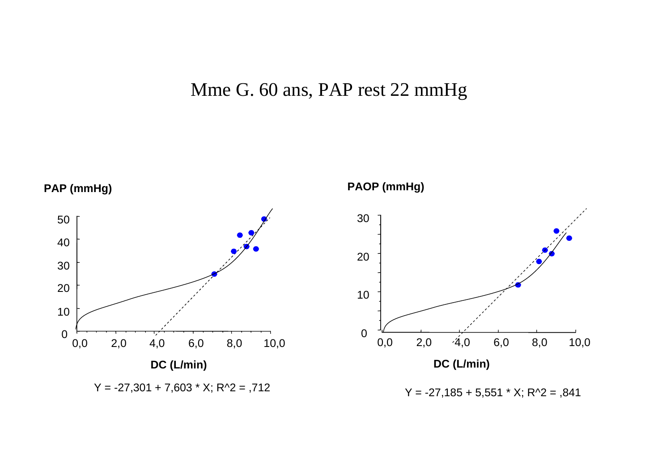### Mme G. 60 ans, PAP rest 22 mmHg

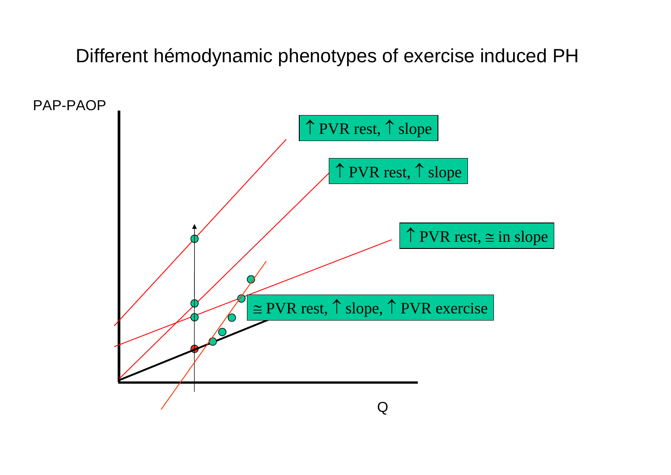# Different hémodynamic phenotypes of exercise induced PH